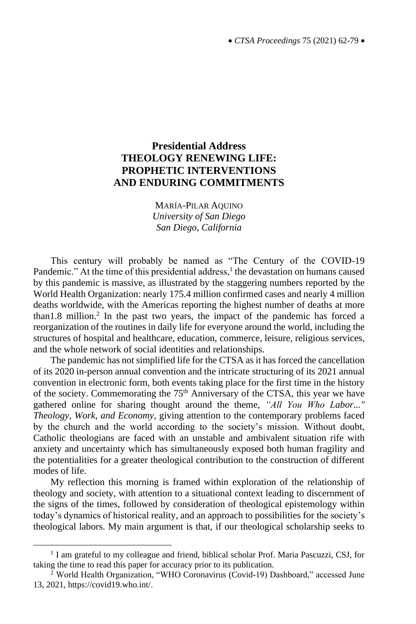# **Presidential Address THEOLOGY RENEWING LIFE: PROPHETIC INTERVENTIONS AND ENDURING COMMITMENTS**

MARÍA-PILAR AQUINO *University of San Diego San Diego, California*

This century will probably be named as "The Century of the COVID-19 Pandemic." At the time of this presidential address,<sup>1</sup> the devastation on humans caused by this pandemic is massive, as illustrated by the staggering numbers reported by the World Health Organization: nearly 175.4 million confirmed cases and nearly 4 million deaths worldwide, with the Americas reporting the highest number of deaths at more than1.8 million.<sup>2</sup> In the past two years, the impact of the pandemic has forced a reorganization of the routines in daily life for everyone around the world, including the structures of hospital and healthcare, education, commerce, leisure, religious services, and the whole network of social identities and relationships.

The pandemic has not simplified life for the CTSA as it has forced the cancellation of its 2020 in-person annual convention and the intricate structuring of its 2021 annual convention in electronic form, both events taking place for the first time in the history of the society. Commemorating the  $75<sup>th</sup>$  Anniversary of the CTSA, this year we have gathered online for sharing thought around the theme, *"All You Who Labor..." Theology, Work, and Economy*, giving attention to the contemporary problems faced by the church and the world according to the society's mission. Without doubt, Catholic theologians are faced with an unstable and ambivalent situation rife with anxiety and uncertainty which has simultaneously exposed both human fragility and the potentialities for a greater theological contribution to the construction of different modes of life.

My reflection this morning is framed within exploration of the relationship of theology and society, with attention to a situational context leading to discernment of the signs of the times, followed by consideration of theological epistemology within today's dynamics of historical reality, and an approach to possibilities for the society's theological labors. My main argument is that, if our theological scholarship seeks to

<sup>&</sup>lt;sup>1</sup> I am grateful to my colleague and friend, biblical scholar Prof. Maria Pascuzzi, CSJ, for taking the time to read this paper for accuracy prior to its publication.

<sup>&</sup>lt;sup>2</sup> World Health Organization, "WHO Coronavirus (Covid-19) Dashboard," accessed June 13, 2021, https://covid19.who.int/.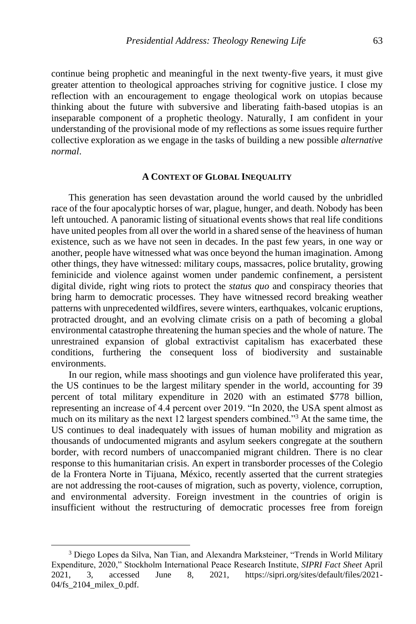continue being prophetic and meaningful in the next twenty-five years, it must give greater attention to theological approaches striving for cognitive justice. I close my reflection with an encouragement to engage theological work on utopias because thinking about the future with subversive and liberating faith-based utopias is an inseparable component of a prophetic theology. Naturally, I am confident in your understanding of the provisional mode of my reflections as some issues require further collective exploration as we engage in the tasks of building a new possible *alternative normal*.

### **A CONTEXT OF GLOBAL INEQUALITY**

This generation has seen devastation around the world caused by the unbridled race of the four apocalyptic horses of war, plague, hunger, and death. Nobody has been left untouched. A panoramic listing of situational events shows that real life conditions have united peoples from all over the world in a shared sense of the heaviness of human existence, such as we have not seen in decades. In the past few years, in one way or another, people have witnessed what was once beyond the human imagination. Among other things, they have witnessed: military coups, massacres, police brutality, growing feminicide and violence against women under pandemic confinement, a persistent digital divide, right wing riots to protect the *status quo* and conspiracy theories that bring harm to democratic processes. They have witnessed record breaking weather patterns with unprecedented wildfires, severe winters, earthquakes, volcanic eruptions, protracted drought, and an evolving climate crisis on a path of becoming a global environmental catastrophe threatening the human species and the whole of nature. The unrestrained expansion of global extractivist capitalism has exacerbated these conditions, furthering the consequent loss of biodiversity and sustainable environments.

In our region, while mass shootings and gun violence have proliferated this year, the US continues to be the largest military spender in the world, accounting for 39 percent of total military expenditure in 2020 with an estimated \$778 billion, representing an increase of 4.4 percent over 2019. "In 2020, the USA spent almost as much on its military as the next 12 largest spenders combined."<sup>3</sup> At the same time, the US continues to deal inadequately with issues of human mobility and migration as thousands of undocumented migrants and asylum seekers congregate at the southern border, with record numbers of unaccompanied migrant children. There is no clear response to this humanitarian crisis. An expert in transborder processes of the Colegio de la Frontera Norte in Tijuana, México, recently asserted that the current strategies are not addressing the root-causes of migration, such as poverty, violence, corruption, and environmental adversity. Foreign investment in the countries of origin is insufficient without the restructuring of democratic processes free from foreign

<sup>3</sup> Diego Lopes da Silva, Nan Tian, and Alexandra Marksteiner, "Trends in World Military Expenditure, 2020," Stockholm International Peace Research Institute, *SIPRI Fact Sheet* April 2021, 3, accessed June 8, 2021, https://sipri.org/sites/default/files/2021- 04/fs\_2104\_milex\_0.pdf.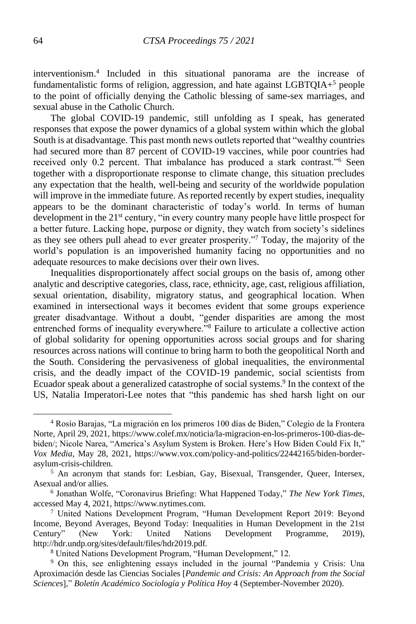interventionism.<sup>4</sup> Included in this situational panorama are the increase of fundamentalistic forms of religion, aggression, and hate against LGBTQIA+<sup>5</sup> people to the point of officially denying the Catholic blessing of same-sex marriages, and sexual abuse in the Catholic Church.

The global COVID-19 pandemic, still unfolding as I speak, has generated responses that expose the power dynamics of a global system within which the global South is at disadvantage. This past month news outlets reported that "wealthy countries had secured more than 87 percent of COVID-19 vaccines, while poor countries had received only 0.2 percent. That imbalance has produced a stark contrast."<sup>6</sup> Seen together with a disproportionate response to climate change, this situation precludes any expectation that the health, well-being and security of the worldwide population will improve in the immediate future. As reported recently by expert studies, inequality appears to be the dominant characteristic of today's world. In terms of human development in the 21<sup>st</sup> century, "in every country many people have little prospect for a better future. Lacking hope, purpose or dignity, they watch from society's sidelines as they see others pull ahead to ever greater prosperity."<sup>7</sup> Today, the majority of the world's population is an impoverished humanity facing no opportunities and no adequate resources to make decisions over their own lives.

Inequalities disproportionately affect social groups on the basis of, among other analytic and descriptive categories, class, race, ethnicity, age, cast, religious affiliation, sexual orientation, disability, migratory status, and geographical location. When examined in intersectional ways it becomes evident that some groups experience greater disadvantage. Without a doubt, "gender disparities are among the most entrenched forms of inequality everywhere."<sup>8</sup> Failure to articulate a collective action of global solidarity for opening opportunities across social groups and for sharing resources across nations will continue to bring harm to both the geopolitical North and the South. Considering the pervasiveness of global inequalities, the environmental crisis, and the deadly impact of the COVID-19 pandemic, social scientists from Ecuador speak about a generalized catastrophe of social systems.<sup>9</sup> In the context of the US, Natalia Imperatori-Lee notes that "this pandemic has shed harsh light on our

<sup>4</sup> Rosío Barajas, "La migración en los primeros 100 días de Biden," Colegio de la Frontera Norte, April 29, 2021, https://www.colef.mx/noticia/la-migracion-en-los-primeros-100-dias-debiden/; Nicole Narea, "America's Asylum System is Broken. Here's How Biden Could Fix It," *Vox Media*, May 28, 2021, https://www.vox.com/policy-and-politics/22442165/biden-borderasylum-crisis-children.

<sup>&</sup>lt;sup>5</sup> An acronym that stands for: Lesbian, Gay, Bisexual, Transgender, Queer, Intersex, Asexual and/or allies.

<sup>6</sup> Jonathan Wolfe, "Coronavirus Briefing: What Happened Today," *The New York Times*, accessed May 4, 2021, https://www.nytimes.com.

<sup>7</sup> United Nations Development Program, "Human Development Report 2019: Beyond Income, Beyond Averages, Beyond Today: Inequalities in Human Development in the 21st Century" (New York: United Nations Development Programme, 2019), http://hdr.undp.org/sites/default/files/hdr2019.pdf.

<sup>8</sup> United Nations Development Program, "Human Development," 12.

<sup>9</sup> On this, see enlightening essays included in the journal "Pandemia y Crisis: Una Aproximación desde las Ciencias Sociales [*Pandemic and Crisis: An Approach from the Social Sciences*]," *Boletín Académico Sociología y Política Hoy* 4 (September-November 2020).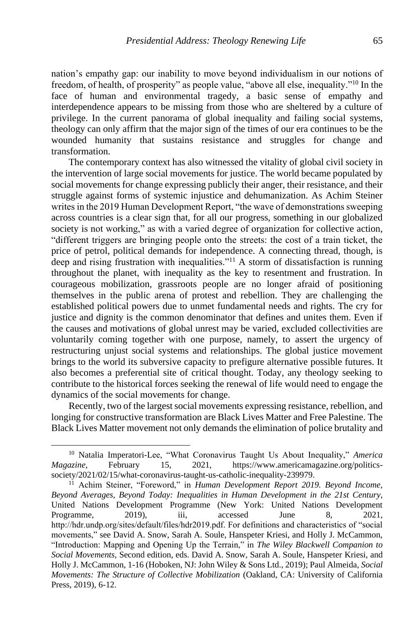nation's empathy gap: our inability to move beyond individualism in our notions of freedom, of health, of prosperity" as people value, "above all else, inequality."<sup>10</sup> In the face of human and environmental tragedy, a basic sense of empathy and interdependence appears to be missing from those who are sheltered by a culture of privilege. In the current panorama of global inequality and failing social systems, theology can only affirm that the major sign of the times of our era continues to be the wounded humanity that sustains resistance and struggles for change and transformation.

The contemporary context has also witnessed the vitality of global civil society in the intervention of large social movements for justice. The world became populated by social movements for change expressing publicly their anger, their resistance, and their struggle against forms of systemic injustice and dehumanization. As Achim Steiner writes in the 2019 Human Development Report, "the wave of demonstrations sweeping across countries is a clear sign that, for all our progress, something in our globalized society is not working," as with a varied degree of organization for collective action, "different triggers are bringing people onto the streets: the cost of a train ticket, the price of petrol, political demands for independence. A connecting thread, though, is deep and rising frustration with inequalities."<sup>11</sup> A storm of dissatisfaction is running throughout the planet, with inequality as the key to resentment and frustration. In courageous mobilization, grassroots people are no longer afraid of positioning themselves in the public arena of protest and rebellion. They are challenging the established political powers due to unmet fundamental needs and rights. The cry for justice and dignity is the common denominator that defines and unites them. Even if the causes and motivations of global unrest may be varied, excluded collectivities are voluntarily coming together with one purpose, namely, to assert the urgency of restructuring unjust social systems and relationships. The global justice movement brings to the world its subversive capacity to prefigure alternative possible futures. It also becomes a preferential site of critical thought. Today, any theology seeking to contribute to the historical forces seeking the renewal of life would need to engage the dynamics of the social movements for change.

Recently, two of the largest social movements expressing resistance, rebellion, and longing for constructive transformation are Black Lives Matter and Free Palestine. The Black Lives Matter movement not only demands the elimination of police brutality and

<sup>10</sup> Natalia Imperatori-Lee, "What Coronavirus Taught Us About Inequality," *America Magazine*, February 15, 2021, https://www.americamagazine.org/politicssociety/2021/02/15/what-coronavirus-taught-us-catholic-inequality-239979.

<sup>11</sup> Achim Steiner, "Foreword," in *Human Development Report 2019. Beyond Income, Beyond Averages, Beyond Today: Inequalities in Human Development in the 21st Century*, United Nations Development Programme (New York: United Nations Development Programme, 2019), iii, accessed June 8, 2021, http://hdr.undp.org/sites/default/files/hdr2019.pdf. For definitions and characteristics of "social movements," see David A. Snow, Sarah A. Soule, Hanspeter Kriesi, and Holly J. McCammon, "Introduction: Mapping and Opening Up the Terrain," in *The Wiley Blackwell Companion to Social Movements*, Second edition, eds. David A. Snow, Sarah A. Soule, Hanspeter Kriesi, and Holly J. McCammon, 1-16 (Hoboken, NJ: John Wiley & Sons Ltd., 2019); Paul Almeida, *Social Movements: The Structure of Collective Mobilization* (Oakland, CA: University of California Press, 2019), 6-12.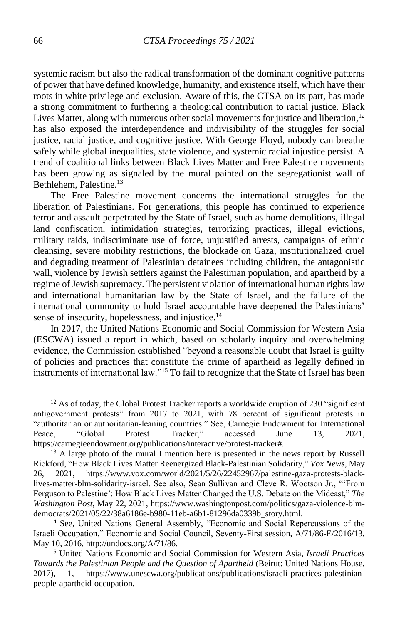systemic racism but also the radical transformation of the dominant cognitive patterns of power that have defined knowledge, humanity, and existence itself, which have their roots in white privilege and exclusion. Aware of this, the CTSA on its part, has made a strong commitment to furthering a theological contribution to racial justice. Black Lives Matter, along with numerous other social movements for justice and liberation,  $12$ has also exposed the interdependence and indivisibility of the struggles for social justice, racial justice, and cognitive justice. With George Floyd, nobody can breathe safely while global inequalities, state violence, and systemic racial injustice persist. A trend of coalitional links between Black Lives Matter and Free Palestine movements has been growing as signaled by the mural painted on the segregationist wall of Bethlehem, Palestine.<sup>13</sup>

The Free Palestine movement concerns the international struggles for the liberation of Palestinians. For generations, this people has continued to experience terror and assault perpetrated by the State of Israel, such as home demolitions, illegal land confiscation, intimidation strategies, terrorizing practices, illegal evictions, military raids, indiscriminate use of force, unjustified arrests, campaigns of ethnic cleansing, severe mobility restrictions, the blockade on Gaza, institutionalized cruel and degrading treatment of Palestinian detainees including children, the antagonistic wall, violence by Jewish settlers against the Palestinian population, and apartheid by a regime of Jewish supremacy. The persistent violation of international human rights law and international humanitarian law by the State of Israel, and the failure of the international community to hold Israel accountable have deepened the Palestinians' sense of insecurity, hopelessness, and injustice.<sup>14</sup>

In 2017, the United Nations Economic and Social Commission for Western Asia (ESCWA) issued a report in which, based on scholarly inquiry and overwhelming evidence, the Commission established "beyond a reasonable doubt that Israel is guilty of policies and practices that constitute the crime of apartheid as legally defined in instruments of international law."<sup>15</sup> To fail to recognize that the State of Israel has been

<sup>&</sup>lt;sup>12</sup> As of today, the Global Protest Tracker reports a worldwide eruption of 230 "significant antigovernment protests" from 2017 to 2021, with 78 percent of significant protests in "authoritarian or authoritarian-leaning countries." See, Carnegie Endowment for International Peace, "Global Protest Tracker," accessed June 13, 2021, https://carnegieendowment.org/publications/interactive/protest-tracker#.

<sup>&</sup>lt;sup>13</sup> A large photo of the mural I mention here is presented in the news report by Russell Rickford, "How Black Lives Matter Reenergized Black-Palestinian Solidarity," *Vox News,* May 26, 2021, https://www.vox.com/world/2021/5/26/22452967/palestine-gaza-protests-blacklives-matter-blm-solidarity-israel. See also, Sean Sullivan and Cleve R. Wootson Jr., "'From Ferguson to Palestine': How Black Lives Matter Changed the U.S. Debate on the Mideast," *The Washington Post*, May 22, 2021, https://www.washingtonpost.com/politics/gaza-violence-blmdemocrats/2021/05/22/38a6186e-b980-11eb-a6b1-81296da0339b\_story.html.

<sup>&</sup>lt;sup>14</sup> See, United Nations General Assembly, "Economic and Social Repercussions of the Israeli Occupation," Economic and Social Council, Seventy-First session, A/71/86-E/2016/13, May 10, 2016, http://undocs.org/A/71/86.

<sup>15</sup> United Nations Economic and Social Commission for Western Asia*, Israeli Practices Towards the Palestinian People and the Question of Apartheid* (Beirut: United Nations House, 2017), 1, https://www.unescwa.org/publications/publications/israeli-practices-palestinianpeople-apartheid-occupation.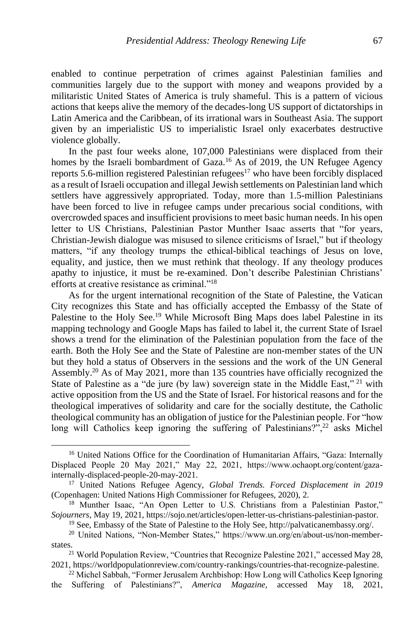enabled to continue perpetration of crimes against Palestinian families and communities largely due to the support with money and weapons provided by a militaristic United States of America is truly shameful. This is a pattern of vicious actions that keeps alive the memory of the decades-long US support of dictatorships in Latin America and the Caribbean, of its irrational wars in Southeast Asia. The support given by an imperialistic US to imperialistic Israel only exacerbates destructive violence globally.

In the past four weeks alone, 107,000 Palestinians were displaced from their homes by the Israeli bombardment of Gaza.<sup>16</sup> As of 2019, the UN Refugee Agency reports 5.6-million registered Palestinian refugees<sup>17</sup> who have been forcibly displaced as a result of Israeli occupation and illegal Jewish settlements on Palestinian land which settlers have aggressively appropriated. Today, more than 1.5-million Palestinians have been forced to live in refugee camps under precarious social conditions, with overcrowded spaces and insufficient provisions to meet basic human needs. In his open letter to US Christians, Palestinian Pastor Munther Isaac asserts that "for years, Christian-Jewish dialogue was misused to silence criticisms of Israel," but if theology matters, "if any theology trumps the ethical-biblical teachings of Jesus on love, equality, and justice, then we must rethink that theology. If any theology produces apathy to injustice, it must be re-examined. Don't describe Palestinian Christians' efforts at creative resistance as criminal."<sup>18</sup>

As for the urgent international recognition of the State of Palestine, the Vatican City recognizes this State and has officially accepted the Embassy of the State of Palestine to the Holy See.<sup>19</sup> While Microsoft Bing Maps does label Palestine in its mapping technology and Google Maps has failed to label it, the current State of Israel shows a trend for the elimination of the Palestinian population from the face of the earth. Both the Holy See and the State of Palestine are non-member states of the UN but they hold a status of Observers in the sessions and the work of the UN General Assembly.<sup>20</sup> As of May 2021, more than 135 countries have officially recognized the State of Palestine as a "de jure (by law) sovereign state in the Middle East,"  $21$  with active opposition from the US and the State of Israel. For historical reasons and for the theological imperatives of solidarity and care for the socially destitute, the Catholic theological community has an obligation of justice for the Palestinian people. For "how long will Catholics keep ignoring the suffering of Palestinians?",<sup>22</sup> asks Michel

<sup>&</sup>lt;sup>16</sup> United Nations Office for the Coordination of Humanitarian Affairs, "Gaza: Internally Displaced People 20 May 2021," May 22, 2021, https://www.ochaopt.org/content/gazainternally-displaced-people-20-may-2021.

<sup>17</sup> United Nations Refugee Agency, *Global Trends. Forced Displacement in 2019* (Copenhagen: United Nations High Commissioner for Refugees, 2020), 2.

<sup>&</sup>lt;sup>18</sup> Munther Isaac, "An Open Letter to U.S. Christians from a Palestinian Pastor," *Sojourners*, May 19, 2021, https://sojo.net/articles/open-letter-us-christians-palestinian-pastor.

<sup>19</sup> See, Embassy of the State of Palestine to the Holy See, http://palvaticanembassy.org/.

<sup>&</sup>lt;sup>20</sup> United Nations, "Non-Member States," https://www.un.org/en/about-us/non-memberstates.

<sup>&</sup>lt;sup>21</sup> World Population Review, "Countries that Recognize Palestine 2021," accessed May 28, 2021, https://worldpopulationreview.com/country-rankings/countries-that-recognize-palestine.

<sup>22</sup> Michel Sabbah, "Former Jerusalem Archbishop: How Long will Catholics Keep Ignoring the Suffering of Palestinians?", *America Magazine*, accessed May 18, 2021,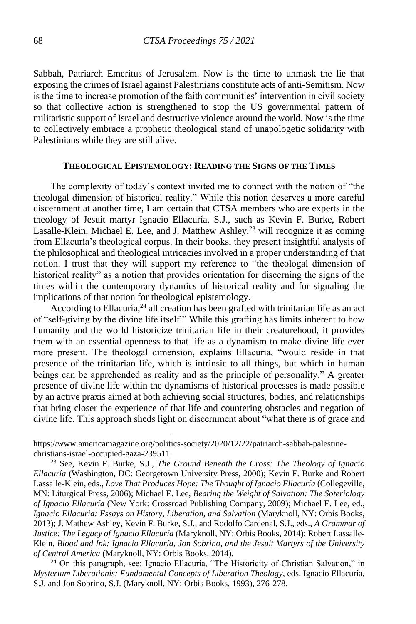Sabbah, Patriarch Emeritus of Jerusalem. Now is the time to unmask the lie that exposing the crimes of Israel against Palestinians constitute acts of anti-Semitism. Now is the time to increase promotion of the faith communities' intervention in civil society so that collective action is strengthened to stop the US governmental pattern of militaristic support of Israel and destructive violence around the world. Now is the time to collectively embrace a prophetic theological stand of unapologetic solidarity with Palestinians while they are still alive.

#### **THEOLOGICAL EPISTEMOLOGY: READING THE SIGNS OF THE TIMES**

The complexity of today's context invited me to connect with the notion of "the theologal dimension of historical reality." While this notion deserves a more careful discernment at another time, I am certain that CTSA members who are experts in the theology of Jesuit martyr Ignacio Ellacuría, S.J., such as Kevin F. Burke, Robert Lasalle-Klein, Michael E. Lee, and J. Matthew Ashley, $^{23}$  will recognize it as coming from Ellacuría's theological corpus. In their books, they present insightful analysis of the philosophical and theological intricacies involved in a proper understanding of that notion. I trust that they will support my reference to "the theologal dimension of historical reality" as a notion that provides orientation for discerning the signs of the times within the contemporary dynamics of historical reality and for signaling the implications of that notion for theological epistemology.

According to Ellacuría, $^{24}$  all creation has been grafted with trinitarian life as an act of "self-giving by the divine life itself." While this grafting has limits inherent to how humanity and the world historicize trinitarian life in their creaturehood, it provides them with an essential openness to that life as a dynamism to make divine life ever more present. The theologal dimension, explains Ellacuría, "would reside in that presence of the trinitarian life, which is intrinsic to all things, but which in human beings can be apprehended as reality and as the principle of personality." A greater presence of divine life within the dynamisms of historical processes is made possible by an active praxis aimed at both achieving social structures, bodies, and relationships that bring closer the experience of that life and countering obstacles and negation of divine life. This approach sheds light on discernment about "what there is of grace and

https://www.americamagazine.org/politics-society/2020/12/22/patriarch-sabbah-palestinechristians-israel-occupied-gaza-239511.

<sup>23</sup> See, Kevin F. Burke, S.J., *The Ground Beneath the Cross: The Theology of Ignacio Ellacuría* (Washington, DC: Georgetown University Press, 2000); Kevin F. Burke and Robert Lassalle-Klein, eds., *Love That Produces Hope: The Thought of Ignacio Ellacuría* (Collegeville, MN: Liturgical Press, 2006); Michael E. Lee, *Bearing the Weight of Salvation: The Soteriology of Ignacio Ellacuría* (New York: Crossroad Publishing Company, 2009); Michael E. Lee, ed., *Ignacio Ellacuria: Essays on History, Liberation, and Salvation* (Maryknoll, NY: Orbis Books, 2013); J. Mathew Ashley, Kevin F. Burke, S.J., and Rodolfo Cardenal, S.J., eds., *A Grammar of Justice: The Legacy of Ignacio Ellacuría* (Maryknoll, NY: Orbis Books, 2014); Robert Lassalle-Klein, *Blood and Ink: Ignacio Ellacuría, Jon Sobrino, and the Jesuit Martyrs of the University of Central America* (Maryknoll, NY: Orbis Books, 2014).

<sup>24</sup> On this paragraph, see: Ignacio Ellacuría, "The Historicity of Christian Salvation," in *Mysterium Liberationis: Fundamental Concepts of Liberation Theology*, eds. Ignacio Ellacuría, S.J. and Jon Sobrino, S.J. (Maryknoll, NY: Orbis Books, 1993), 276-278.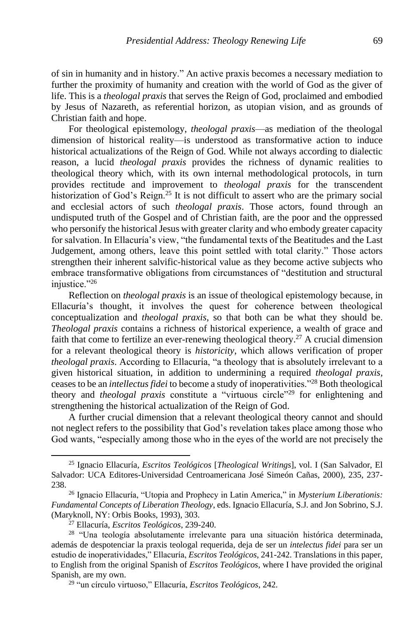of sin in humanity and in history." An active praxis becomes a necessary mediation to further the proximity of humanity and creation with the world of God as the giver of life. This is a *theologal praxis* that serves the Reign of God, proclaimed and embodied by Jesus of Nazareth, as referential horizon, as utopian vision, and as grounds of Christian faith and hope.

For theological epistemology, *theologal praxis*—as mediation of the theologal dimension of historical reality—is understood as transformative action to induce historical actualizations of the Reign of God. While not always according to dialectic reason, a lucid *theologal praxis* provides the richness of dynamic realities to theological theory which, with its own internal methodological protocols, in turn provides rectitude and improvement to *theologal praxis* for the transcendent historization of God's Reign.<sup>25</sup> It is not difficult to assert who are the primary social and ecclesial actors of such *theologal praxis*. Those actors, found through an undisputed truth of the Gospel and of Christian faith, are the poor and the oppressed who personify the historical Jesus with greater clarity and who embody greater capacity for salvation. In Ellacuría's view, "the fundamental texts of the Beatitudes and the Last Judgement, among others, leave this point settled with total clarity." Those actors strengthen their inherent salvific-historical value as they become active subjects who embrace transformative obligations from circumstances of "destitution and structural injustice."26

Reflection on *theologal praxis* is an issue of theological epistemology because, in Ellacuría's thought, it involves the quest for coherence between theological conceptualization and *theologal praxis*, so that both can be what they should be. *Theologal praxis* contains a richness of historical experience, a wealth of grace and faith that come to fertilize an ever-renewing theological theory.<sup>27</sup> A crucial dimension for a relevant theological theory is *historicity*, which allows verification of proper *theologal praxis*. According to Ellacuría, "a theology that is absolutely irrelevant to a given historical situation, in addition to undermining a required *theologal praxis*, ceases to be an *intellectus fidei* to become a study of inoperativities."<sup>28</sup> Both theological theory and *theologal praxis* constitute a "virtuous circle"<sup>29</sup> for enlightening and strengthening the historical actualization of the Reign of God.

A further crucial dimension that a relevant theological theory cannot and should not neglect refers to the possibility that God's revelation takes place among those who God wants, "especially among those who in the eyes of the world are not precisely the

<sup>25</sup> Ignacio Ellacuría*, Escritos Teológicos* [*Theological Writings*], vol. I (San Salvador, El Salvador: UCA Editores-Universidad Centroamericana José Simeón Cañas, 2000), 235, 237- 238.

<sup>26</sup> Ignacio Ellacuría, "Utopia and Prophecy in Latin America," in *Mysterium Liberationis: Fundamental Concepts of Liberation Theology*, eds. Ignacio Ellacuría, S.J. and Jon Sobrino, S.J. (Maryknoll, NY: Orbis Books, 1993), 303.

<sup>27</sup> Ellacuría, *Escritos Teológicos*, 239-240.

<sup>28</sup> "Una teología absolutamente irrelevante para una situación histórica determinada, además de despotenciar la praxis teologal requerida, deja de ser un *intelectus fidei* para ser un estudio de inoperatividades," Ellacuría, *Escritos Teológicos*, 241-242. Translations in this paper, to English from the original Spanish of *Escritos Teológicos*, where I have provided the original Spanish, are my own.

<sup>29</sup> "un círculo virtuoso," Ellacuría, *Escritos Teológicos*, 242.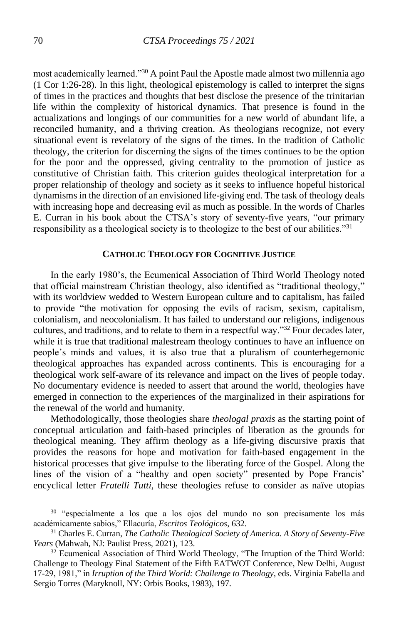most academically learned."<sup>30</sup> A point Paul the Apostle made almost two millennia ago (1 Cor 1:26-28). In this light, theological epistemology is called to interpret the signs of times in the practices and thoughts that best disclose the presence of the trinitarian life within the complexity of historical dynamics. That presence is found in the actualizations and longings of our communities for a new world of abundant life, a reconciled humanity, and a thriving creation. As theologians recognize, not every situational event is revelatory of the signs of the times. In the tradition of Catholic theology, the criterion for discerning the signs of the times continues to be the option for the poor and the oppressed, giving centrality to the promotion of justice as constitutive of Christian faith. This criterion guides theological interpretation for a proper relationship of theology and society as it seeks to influence hopeful historical dynamisms in the direction of an envisioned life-giving end. The task of theology deals with increasing hope and decreasing evil as much as possible. In the words of Charles E. Curran in his book about the CTSA's story of seventy-five years, "our primary responsibility as a theological society is to theologize to the best of our abilities."<sup>31</sup>

## **CATHOLIC THEOLOGY FOR COGNITIVE JUSTICE**

In the early 1980's, the Ecumenical Association of Third World Theology noted that official mainstream Christian theology, also identified as "traditional theology," with its worldview wedded to Western European culture and to capitalism, has failed to provide "the motivation for opposing the evils of racism, sexism, capitalism, colonialism, and neocolonialism. It has failed to understand our religions, indigenous cultures, and traditions, and to relate to them in a respectful way."<sup>32</sup> Four decades later, while it is true that traditional malestream theology continues to have an influence on people's minds and values, it is also true that a pluralism of counterhegemonic theological approaches has expanded across continents. This is encouraging for a theological work self-aware of its relevance and impact on the lives of people today. No documentary evidence is needed to assert that around the world, theologies have emerged in connection to the experiences of the marginalized in their aspirations for the renewal of the world and humanity.

Methodologically, those theologies share *theologal praxis* as the starting point of conceptual articulation and faith-based principles of liberation as the grounds for theological meaning. They affirm theology as a life-giving discursive praxis that provides the reasons for hope and motivation for faith-based engagement in the historical processes that give impulse to the liberating force of the Gospel. Along the lines of the vision of a "healthy and open society" presented by Pope Francis' encyclical letter *Fratelli Tutti*, these theologies refuse to consider as naïve utopias

<sup>&</sup>lt;sup>30</sup> "especialmente a los que a los ojos del mundo no son precisamente los más académicamente sabios," Ellacuría, *Escritos Teológicos*, 632.

<sup>31</sup> Charles E. Curran, *The Catholic Theological Society of America. A Story of Seventy-Five Years* (Mahwah, NJ: Paulist Press, 2021), 123.

<sup>&</sup>lt;sup>32</sup> Ecumenical Association of Third World Theology, "The Irruption of the Third World: Challenge to Theology Final Statement of the Fifth EATWOT Conference, New Delhi, August 17-29, 1981," in *Irruption of the Third World: Challenge to Theology*, eds. Virginia Fabella and Sergio Torres (Maryknoll, NY: Orbis Books, 1983), 197.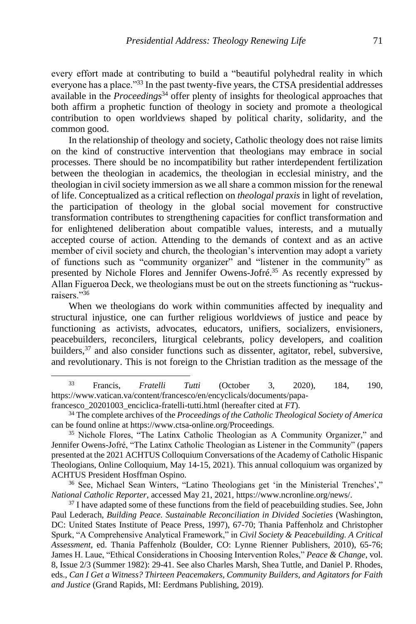every effort made at contributing to build a "beautiful polyhedral reality in which everyone has a place."<sup>33</sup> In the past twenty-five years, the CTSA presidential addresses available in the *Proceedings*<sup>34</sup> offer plenty of insights for theological approaches that both affirm a prophetic function of theology in society and promote a theological contribution to open worldviews shaped by political charity, solidarity, and the common good.

In the relationship of theology and society, Catholic theology does not raise limits on the kind of constructive intervention that theologians may embrace in social processes. There should be no incompatibility but rather interdependent fertilization between the theologian in academics, the theologian in ecclesial ministry, and the theologian in civil society immersion as we all share a common mission for the renewal of life. Conceptualized as a critical reflection on *theologal praxis* in light of revelation, the participation of theology in the global social movement for constructive transformation contributes to strengthening capacities for conflict transformation and for enlightened deliberation about compatible values, interests, and a mutually accepted course of action. Attending to the demands of context and as an active member of civil society and church, the theologian's intervention may adopt a variety of functions such as "community organizer" and "listener in the community" as presented by Nichole Flores and Jennifer Owens-Jofré.<sup>35</sup> As recently expressed by Allan Figueroa Deck, we theologians must be out on the streets functioning as "ruckusraisers."<sup>36</sup>

When we theologians do work within communities affected by inequality and structural injustice, one can further religious worldviews of justice and peace by functioning as activists, advocates, educators, unifiers, socializers, envisioners, peacebuilders, reconcilers, liturgical celebrants, policy developers, and coalition builders,<sup>37</sup> and also consider functions such as dissenter, agitator, rebel, subversive, and revolutionary. This is not foreign to the Christian tradition as the message of the

<sup>33</sup> Francis, *Fratelli Tutti* (October 3, 2020), 184, 190, https://www.vatican.va/content/francesco/en/encyclicals/documents/papafrancesco\_20201003\_enciclica-fratelli-tutti.html (hereafter cited at *FT*).

<sup>34</sup> The complete archives of the *Proceedings of the Catholic Theological Society of America* can be found online at https://www.ctsa-online.org/Proceedings.

<sup>35</sup> Nichole Flores, "The Latinx Catholic Theologian as A Community Organizer," and Jennifer Owens-Jofré, "The Latinx Catholic Theologian as Listener in the Community" (papers presented at the 2021 ACHTUS Colloquium Conversations of the Academy of Catholic Hispanic Theologians, Online Colloquium, May 14-15, 2021). This annual colloquium was organized by ACHTUS President Hosffman Ospino.

<sup>36</sup> See, Michael Sean Winters, "Latino Theologians get 'in the Ministerial Trenches'," *National Catholic Reporter*, accessed May 21, 2021, https://www.ncronline.org/news/.

<sup>&</sup>lt;sup>37</sup> I have adapted some of these functions from the field of peacebuilding studies. See, John Paul Lederach, *Building Peace. Sustainable Reconciliation in Divided Societies* (Washington, DC: United States Institute of Peace Press, 1997), 67-70; Thania Paffenholz and Christopher Spurk, "A Comprehensive Analytical Framework," in *Civil Society & Peacebuilding. A Critical Assessment*, ed. Thania Paffenholz (Boulder, CO: Lynne Rienner Publishers, 2010), 65-76; James H. Laue, "Ethical Considerations in Choosing Intervention Roles," *Peace & Change*, vol. 8, Issue 2/3 (Summer 1982): 29-41. See also Charles Marsh, Shea Tuttle, and Daniel P. Rhodes, eds., *Can I Get a Witness? Thirteen Peacemakers, Community Builders, and Agitators for Faith and Justice* (Grand Rapids, MI: Eerdmans Publishing, 2019).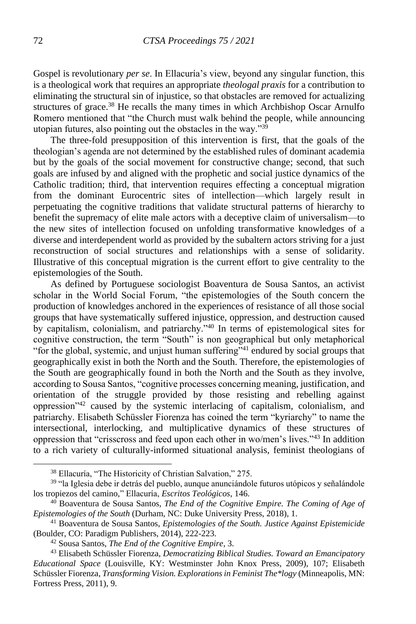Gospel is revolutionary *per se*. In Ellacuría's view, beyond any singular function, this is a theological work that requires an appropriate *theologal praxis* for a contribution to eliminating the structural sin of injustice, so that obstacles are removed for actualizing structures of grace.<sup>38</sup> He recalls the many times in which Archbishop Oscar Arnulfo Romero mentioned that "the Church must walk behind the people, while announcing utopian futures, also pointing out the obstacles in the way." $39$ 

The three-fold presupposition of this intervention is first, that the goals of the theologian's agenda are not determined by the established rules of dominant academia but by the goals of the social movement for constructive change; second, that such goals are infused by and aligned with the prophetic and social justice dynamics of the Catholic tradition; third, that intervention requires effecting a conceptual migration from the dominant Eurocentric sites of intellection—which largely result in perpetuating the cognitive traditions that validate structural patterns of hierarchy to benefit the supremacy of elite male actors with a deceptive claim of universalism—to the new sites of intellection focused on unfolding transformative knowledges of a diverse and interdependent world as provided by the subaltern actors striving for a just reconstruction of social structures and relationships with a sense of solidarity. Illustrative of this conceptual migration is the current effort to give centrality to the epistemologies of the South.

As defined by Portuguese sociologist Boaventura de Sousa Santos, an activist scholar in the World Social Forum, "the epistemologies of the South concern the production of knowledges anchored in the experiences of resistance of all those social groups that have systematically suffered injustice, oppression, and destruction caused by capitalism, colonialism, and patriarchy."<sup>40</sup> In terms of epistemological sites for cognitive construction, the term "South" is non geographical but only metaphorical "for the global, systemic, and unjust human suffering"<sup>41</sup> endured by social groups that geographically exist in both the North and the South. Therefore, the epistemologies of the South are geographically found in both the North and the South as they involve, according to Sousa Santos, "cognitive processes concerning meaning, justification, and orientation of the struggle provided by those resisting and rebelling against oppression"<sup>42</sup> caused by the systemic interlacing of capitalism, colonialism, and patriarchy. Elisabeth Schüssler Fiorenza has coined the term "kyriarchy" to name the intersectional, interlocking, and multiplicative dynamics of these structures of oppression that "crisscross and feed upon each other in wo/men's lives."<sup>43</sup> In addition to a rich variety of culturally-informed situational analysis, feminist theologians of

<sup>38</sup> Ellacuría, "The Historicity of Christian Salvation," 275.

<sup>&</sup>lt;sup>39</sup> "la Iglesia debe ir detrás del pueblo, aunque anunciándole futuros utópicos y señalándole los tropiezos del camino," Ellacuría, *Escritos Teológicos*, 146.

<sup>40</sup> Boaventura de Sousa Santos, *The End of the Cognitive Empire. The Coming of Age of Epistemologies of the South* (Durham, NC: Duke University Press, 2018), 1.

<sup>41</sup> Boaventura de Sousa Santos, *Epistemologies of the South. Justice Against Epistemicide* (Boulder, CO: Paradigm Publishers, 2014), 222-223.

<sup>42</sup> Sousa Santos, *The End of the Cognitive Empire*, 3.

<sup>43</sup> Elisabeth Schüssler Fiorenza, *Democratizing Biblical Studies. Toward an Emancipatory Educational Space* (Louisville, KY: Westminster John Knox Press, 2009), 107; Elisabeth Schüssler Fiorenza, *Transforming Vision. Explorations in Feminist The\*logy* (Minneapolis, MN: Fortress Press, 2011), 9.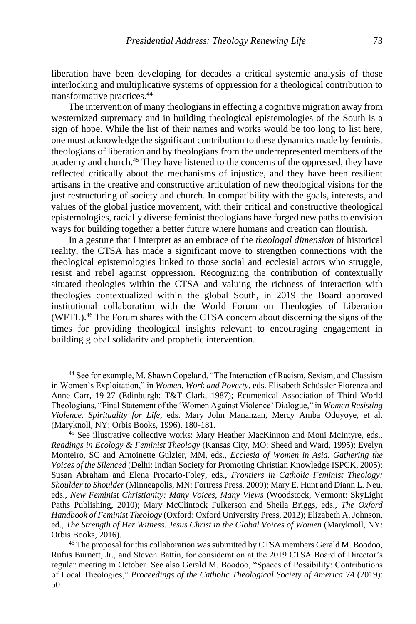liberation have been developing for decades a critical systemic analysis of those interlocking and multiplicative systems of oppression for a theological contribution to transformative practices.<sup>44</sup>

The intervention of many theologians in effecting a cognitive migration away from westernized supremacy and in building theological epistemologies of the South is a sign of hope. While the list of their names and works would be too long to list here, one must acknowledge the significant contribution to these dynamics made by feminist theologians of liberation and by theologians from the underrepresented members of the academy and church.<sup>45</sup> They have listened to the concerns of the oppressed, they have reflected critically about the mechanisms of injustice, and they have been resilient artisans in the creative and constructive articulation of new theological visions for the just restructuring of society and church. In compatibility with the goals, interests, and values of the global justice movement, with their critical and constructive theological epistemologies, racially diverse feminist theologians have forged new paths to envision ways for building together a better future where humans and creation can flourish.

In a gesture that I interpret as an embrace of the *theologal dimension* of historical reality, the CTSA has made a significant move to strengthen connections with the theological epistemologies linked to those social and ecclesial actors who struggle, resist and rebel against oppression. Recognizing the contribution of contextually situated theologies within the CTSA and valuing the richness of interaction with theologies contextualized within the global South, in 2019 the Board approved institutional collaboration with the World Forum on Theologies of Liberation (WFTL).<sup>46</sup> The Forum shares with the CTSA concern about discerning the signs of the times for providing theological insights relevant to encouraging engagement in building global solidarity and prophetic intervention.

<sup>44</sup> See for example, M. Shawn Copeland, "The Interaction of Racism, Sexism, and Classism in Women's Exploitation," in *Women, Work and Poverty*, eds. Elisabeth Schüssler Fiorenza and Anne Carr, 19-27 (Edinburgh: T&T Clark, 1987); Ecumenical Association of Third World Theologians, "Final Statement of the 'Women Against Violence' Dialogue," in *Women Resisting Violence. Spirituality for Life*, eds. Mary John Mananzan, Mercy Amba Oduyoye, et al. (Maryknoll, NY: Orbis Books, 1996), 180-181.

<sup>&</sup>lt;sup>45</sup> See illustrative collective works: Mary Heather MacKinnon and Moni McIntyre, eds., *Readings in Ecology & Feminist Theology* (Kansas City, MO: Sheed and Ward, 1995); Evelyn Monteiro, SC and Antoinette Gulzler, MM, eds., *Ecclesia of Women in Asia. Gathering the Voices of the Silenced* (Delhi: Indian Society for Promoting Christian Knowledge ISPCK, 2005); Susan Abraham and Elena Procario-Foley, eds., *Frontiers in Catholic Feminist Theology: Shoulder to Shoulder* (Minneapolis, MN: Fortress Press, 2009); Mary E. Hunt and Diann L. Neu, eds., *New Feminist Christianity: Many Voices, Many Views* (Woodstock, Vermont: SkyLight Paths Publishing, 2010); Mary McClintock Fulkerson and Sheila Briggs, eds., *The Oxford Handbook of Feminist Theology* (Oxford: Oxford University Press, 2012); Elizabeth A. Johnson, ed., *The Strength of Her Witness. Jesus Christ in the Global Voices of Women* (Maryknoll, NY: Orbis Books, 2016).

<sup>46</sup> The proposal for this collaboration was submitted by CTSA members Gerald M. Boodoo, Rufus Burnett, Jr., and Steven Battin, for consideration at the 2019 CTSA Board of Director's regular meeting in October. See also Gerald M. Boodoo, "Spaces of Possibility: Contributions of Local Theologies," *Proceedings of the Catholic Theological Society of America* 74 (2019): 50.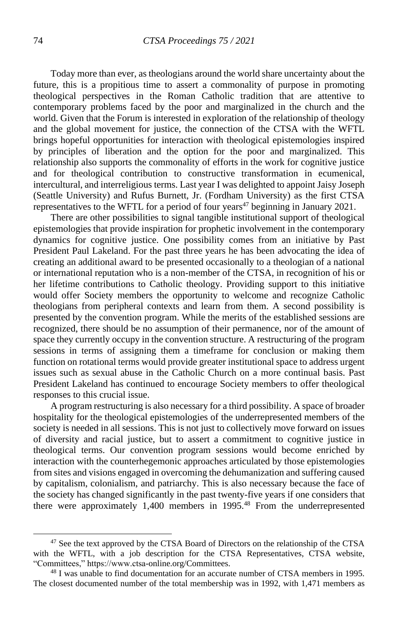Today more than ever, as theologians around the world share uncertainty about the future, this is a propitious time to assert a commonality of purpose in promoting theological perspectives in the Roman Catholic tradition that are attentive to contemporary problems faced by the poor and marginalized in the church and the world. Given that the Forum is interested in exploration of the relationship of theology and the global movement for justice, the connection of the CTSA with the WFTL brings hopeful opportunities for interaction with theological epistemologies inspired by principles of liberation and the option for the poor and marginalized. This relationship also supports the commonality of efforts in the work for cognitive justice and for theological contribution to constructive transformation in ecumenical, intercultural, and interreligious terms. Last year I was delighted to appoint Jaisy Joseph (Seattle University) and Rufus Burnett, Jr. (Fordham University) as the first CTSA representatives to the WFTL for a period of four years<sup>47</sup> beginning in January 2021.

There are other possibilities to signal tangible institutional support of theological epistemologies that provide inspiration for prophetic involvement in the contemporary dynamics for cognitive justice. One possibility comes from an initiative by Past President Paul Lakeland. For the past three years he has been advocating the idea of creating an additional award to be presented occasionally to a theologian of a national or international reputation who is a non-member of the CTSA, in recognition of his or her lifetime contributions to Catholic theology. Providing support to this initiative would offer Society members the opportunity to welcome and recognize Catholic theologians from peripheral contexts and learn from them. A second possibility is presented by the convention program. While the merits of the established sessions are recognized, there should be no assumption of their permanence, nor of the amount of space they currently occupy in the convention structure. A restructuring of the program sessions in terms of assigning them a timeframe for conclusion or making them function on rotational terms would provide greater institutional space to address urgent issues such as sexual abuse in the Catholic Church on a more continual basis. Past President Lakeland has continued to encourage Society members to offer theological responses to this crucial issue.

A program restructuring is also necessary for a third possibility. A space of broader hospitality for the theological epistemologies of the underrepresented members of the society is needed in all sessions. This is not just to collectively move forward on issues of diversity and racial justice, but to assert a commitment to cognitive justice in theological terms. Our convention program sessions would become enriched by interaction with the counterhegemonic approaches articulated by those epistemologies from sites and visions engaged in overcoming the dehumanization and suffering caused by capitalism, colonialism, and patriarchy. This is also necessary because the face of the society has changed significantly in the past twenty-five years if one considers that there were approximately 1,400 members in 1995.<sup>48</sup> From the underrepresented

<sup>&</sup>lt;sup>47</sup> See the text approved by the CTSA Board of Directors on the relationship of the CTSA with the WFTL, with a job description for the CTSA Representatives, CTSA website, "Committees," https://www.ctsa-online.org/Committees.

<sup>48</sup> I was unable to find documentation for an accurate number of CTSA members in 1995. The closest documented number of the total membership was in 1992, with 1,471 members as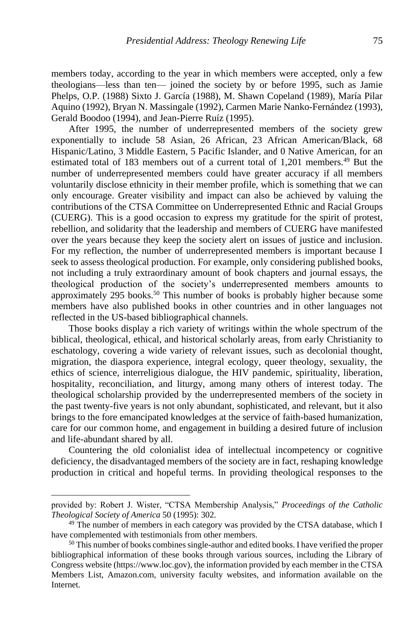members today, according to the year in which members were accepted, only a few theologians—less than ten— joined the society by or before 1995, such as Jamie Phelps, O.P. (1988) Sixto J. García (1988), M. Shawn Copeland (1989), María Pilar Aquino (1992), Bryan N. Massingale (1992), Carmen Marie Nanko-Fernández (1993), Gerald Boodoo (1994), and Jean-Pierre Ruíz (1995).

After 1995, the number of underrepresented members of the society grew exponentially to include 58 Asian, 26 African, 23 African American/Black, 68 Hispanic/Latino, 3 Middle Eastern, 5 Pacific Islander, and 0 Native American, for an estimated total of 183 members out of a current total of 1,201 members.<sup>49</sup> But the number of underrepresented members could have greater accuracy if all members voluntarily disclose ethnicity in their member profile, which is something that we can only encourage. Greater visibility and impact can also be achieved by valuing the contributions of the CTSA Committee on Underrepresented Ethnic and Racial Groups (CUERG). This is a good occasion to express my gratitude for the spirit of protest, rebellion, and solidarity that the leadership and members of CUERG have manifested over the years because they keep the society alert on issues of justice and inclusion. For my reflection, the number of underrepresented members is important because I seek to assess theological production. For example, only considering published books, not including a truly extraordinary amount of book chapters and journal essays, the theological production of the society's underrepresented members amounts to approximately 295 books.<sup>50</sup> This number of books is probably higher because some members have also published books in other countries and in other languages not reflected in the US-based bibliographical channels.

Those books display a rich variety of writings within the whole spectrum of the biblical, theological, ethical, and historical scholarly areas, from early Christianity to eschatology, covering a wide variety of relevant issues, such as decolonial thought, migration, the diaspora experience, integral ecology, queer theology, sexuality, the ethics of science, interreligious dialogue, the HIV pandemic, spirituality, liberation, hospitality, reconciliation, and liturgy, among many others of interest today. The theological scholarship provided by the underrepresented members of the society in the past twenty-five years is not only abundant, sophisticated, and relevant, but it also brings to the fore emancipated knowledges at the service of faith-based humanization, care for our common home, and engagement in building a desired future of inclusion and life-abundant shared by all.

Countering the old colonialist idea of intellectual incompetency or cognitive deficiency, the disadvantaged members of the society are in fact, reshaping knowledge production in critical and hopeful terms. In providing theological responses to the

provided by: Robert J. Wister, "CTSA Membership Analysis," *Proceedings of the Catholic Theological Society of America* 50 (1995): 302.

<sup>&</sup>lt;sup>49</sup> The number of members in each category was provided by the CTSA database, which I have complemented with testimonials from other members.

<sup>&</sup>lt;sup>50</sup> This number of books combines single-author and edited books. I have verified the proper bibliographical information of these books through various sources, including the Library of Congress website (https://www.loc.gov), the information provided by each member in the CTSA Members List, Amazon.com, university faculty websites, and information available on the Internet.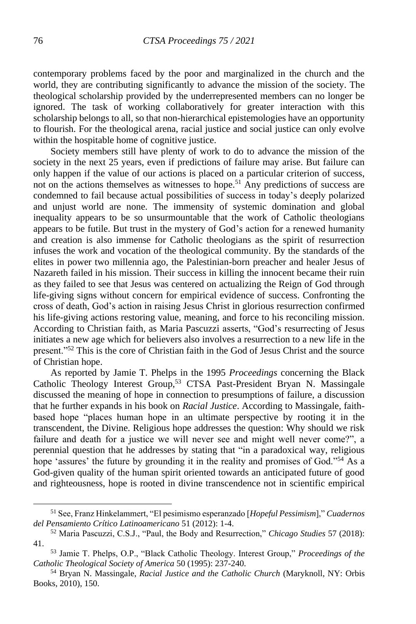contemporary problems faced by the poor and marginalized in the church and the world, they are contributing significantly to advance the mission of the society. The theological scholarship provided by the underrepresented members can no longer be ignored. The task of working collaboratively for greater interaction with this scholarship belongs to all, so that non-hierarchical epistemologies have an opportunity to flourish. For the theological arena, racial justice and social justice can only evolve within the hospitable home of cognitive justice.

Society members still have plenty of work to do to advance the mission of the society in the next 25 years, even if predictions of failure may arise. But failure can only happen if the value of our actions is placed on a particular criterion of success, not on the actions themselves as witnesses to hope.<sup>51</sup> Any predictions of success are condemned to fail because actual possibilities of success in today's deeply polarized and unjust world are none. The immensity of systemic domination and global inequality appears to be so unsurmountable that the work of Catholic theologians appears to be futile. But trust in the mystery of God's action for a renewed humanity and creation is also immense for Catholic theologians as the spirit of resurrection infuses the work and vocation of the theological community. By the standards of the elites in power two millennia ago, the Palestinian-born preacher and healer Jesus of Nazareth failed in his mission. Their success in killing the innocent became their ruin as they failed to see that Jesus was centered on actualizing the Reign of God through life-giving signs without concern for empirical evidence of success. Confronting the cross of death, God's action in raising Jesus Christ in glorious resurrection confirmed his life-giving actions restoring value, meaning, and force to his reconciling mission. According to Christian faith, as Maria Pascuzzi asserts, "God's resurrecting of Jesus initiates a new age which for believers also involves a resurrection to a new life in the present."<sup>52</sup> This is the core of Christian faith in the God of Jesus Christ and the source of Christian hope.

As reported by Jamie T. Phelps in the 1995 *Proceedings* concerning the Black Catholic Theology Interest Group,<sup>53</sup> CTSA Past-President Bryan N. Massingale discussed the meaning of hope in connection to presumptions of failure, a discussion that he further expands in his book on *Racial Justice*. According to Massingale, faithbased hope "places human hope in an ultimate perspective by rooting it in the transcendent, the Divine. Religious hope addresses the question: Why should we risk failure and death for a justice we will never see and might well never come?", a perennial question that he addresses by stating that "in a paradoxical way, religious hope 'assures' the future by grounding it in the reality and promises of God."<sup>54</sup> As a God-given quality of the human spirit oriented towards an anticipated future of good and righteousness, hope is rooted in divine transcendence not in scientific empirical

<sup>51</sup> See, Franz Hinkelammert, "El pesimismo esperanzado [*Hopeful Pessimism*]," *Cuadernos del Pensamiento Crítico Latinoamericano* 51 (2012): 1-4.

<sup>52</sup> Maria Pascuzzi, C.S.J., "Paul, the Body and Resurrection," *Chicago Studies* 57 (2018): 41.

<sup>53</sup> Jamie T. Phelps, O.P., "Black Catholic Theology. Interest Group," *Proceedings of the Catholic Theological Society of America* 50 (1995): 237-240.

<sup>54</sup> Bryan N. Massingale, *Racial Justice and the Catholic Church* (Maryknoll, NY: Orbis Books, 2010), 150.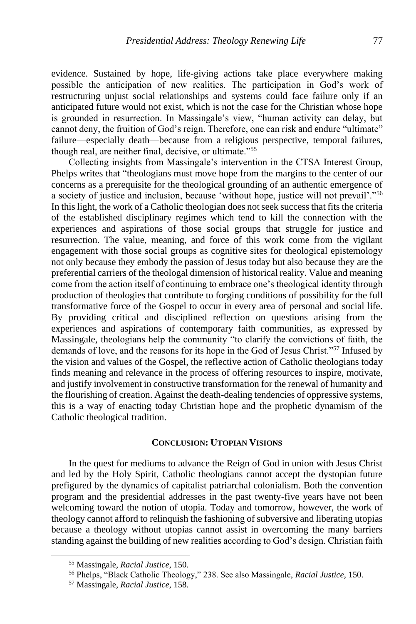evidence. Sustained by hope, life-giving actions take place everywhere making possible the anticipation of new realities. The participation in God's work of restructuring unjust social relationships and systems could face failure only if an anticipated future would not exist, which is not the case for the Christian whose hope is grounded in resurrection. In Massingale's view, "human activity can delay, but cannot deny, the fruition of God's reign. Therefore, one can risk and endure "ultimate" failure—especially death—because from a religious perspective, temporal failures, though real, are neither final, decisive, or ultimate."<sup>55</sup>

Collecting insights from Massingale's intervention in the CTSA Interest Group, Phelps writes that "theologians must move hope from the margins to the center of our concerns as a prerequisite for the theological grounding of an authentic emergence of a society of justice and inclusion, because 'without hope, justice will not prevail'."<sup>56</sup> In this light, the work of a Catholic theologian does not seek success that fits the criteria of the established disciplinary regimes which tend to kill the connection with the experiences and aspirations of those social groups that struggle for justice and resurrection. The value, meaning, and force of this work come from the vigilant engagement with those social groups as cognitive sites for theological epistemology not only because they embody the passion of Jesus today but also because they are the preferential carriers of the theologal dimension of historical reality. Value and meaning come from the action itself of continuing to embrace one's theological identity through production of theologies that contribute to forging conditions of possibility for the full transformative force of the Gospel to occur in every area of personal and social life. By providing critical and disciplined reflection on questions arising from the experiences and aspirations of contemporary faith communities, as expressed by Massingale, theologians help the community "to clarify the convictions of faith, the demands of love, and the reasons for its hope in the God of Jesus Christ."<sup>57</sup> Infused by the vision and values of the Gospel, the reflective action of Catholic theologians today finds meaning and relevance in the process of offering resources to inspire, motivate, and justify involvement in constructive transformation for the renewal of humanity and the flourishing of creation. Against the death-dealing tendencies of oppressive systems, this is a way of enacting today Christian hope and the prophetic dynamism of the Catholic theological tradition.

## **CONCLUSION: UTOPIAN VISIONS**

In the quest for mediums to advance the Reign of God in union with Jesus Christ and led by the Holy Spirit, Catholic theologians cannot accept the dystopian future prefigured by the dynamics of capitalist patriarchal colonialism. Both the convention program and the presidential addresses in the past twenty-five years have not been welcoming toward the notion of utopia. Today and tomorrow, however, the work of theology cannot afford to relinquish the fashioning of subversive and liberating utopias because a theology without utopias cannot assist in overcoming the many barriers standing against the building of new realities according to God's design. Christian faith

<sup>55</sup> Massingale, *Racial Justice*, 150.

<sup>56</sup> Phelps, "Black Catholic Theology," 238. See also Massingale, *Racial Justice*, 150.

<sup>57</sup> Massingale, *Racial Justice*, 158.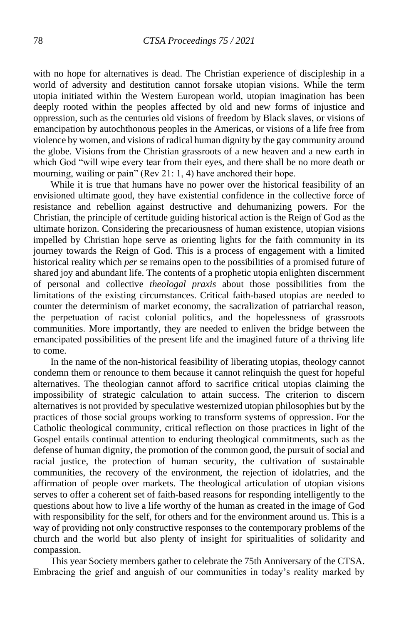with no hope for alternatives is dead. The Christian experience of discipleship in a world of adversity and destitution cannot forsake utopian visions. While the term utopia initiated within the Western European world, utopian imagination has been deeply rooted within the peoples affected by old and new forms of injustice and oppression, such as the centuries old visions of freedom by Black slaves, or visions of emancipation by autochthonous peoples in the Americas, or visions of a life free from violence by women, and visions of radical human dignity by the gay community around the globe. Visions from the Christian grassroots of a new heaven and a new earth in which God "will wipe every tear from their eyes, and there shall be no more death or mourning, wailing or pain" (Rev 21: 1, 4) have anchored their hope.

While it is true that humans have no power over the historical feasibility of an envisioned ultimate good, they have existential confidence in the collective force of resistance and rebellion against destructive and dehumanizing powers. For the Christian, the principle of certitude guiding historical action is the Reign of God as the ultimate horizon. Considering the precariousness of human existence, utopian visions impelled by Christian hope serve as orienting lights for the faith community in its journey towards the Reign of God. This is a process of engagement with a limited historical reality which *per se* remains open to the possibilities of a promised future of shared joy and abundant life. The contents of a prophetic utopia enlighten discernment of personal and collective *theologal praxis* about those possibilities from the limitations of the existing circumstances. Critical faith-based utopias are needed to counter the determinism of market economy, the sacralization of patriarchal reason, the perpetuation of racist colonial politics, and the hopelessness of grassroots communities. More importantly, they are needed to enliven the bridge between the emancipated possibilities of the present life and the imagined future of a thriving life to come.

In the name of the non-historical feasibility of liberating utopias, theology cannot condemn them or renounce to them because it cannot relinquish the quest for hopeful alternatives. The theologian cannot afford to sacrifice critical utopias claiming the impossibility of strategic calculation to attain success. The criterion to discern alternatives is not provided by speculative westernized utopian philosophies but by the practices of those social groups working to transform systems of oppression. For the Catholic theological community, critical reflection on those practices in light of the Gospel entails continual attention to enduring theological commitments, such as the defense of human dignity, the promotion of the common good, the pursuit of social and racial justice, the protection of human security, the cultivation of sustainable communities, the recovery of the environment, the rejection of idolatries, and the affirmation of people over markets. The theological articulation of utopian visions serves to offer a coherent set of faith-based reasons for responding intelligently to the questions about how to live a life worthy of the human as created in the image of God with responsibility for the self, for others and for the environment around us. This is a way of providing not only constructive responses to the contemporary problems of the church and the world but also plenty of insight for spiritualities of solidarity and compassion.

This year Society members gather to celebrate the 75th Anniversary of the CTSA. Embracing the grief and anguish of our communities in today's reality marked by